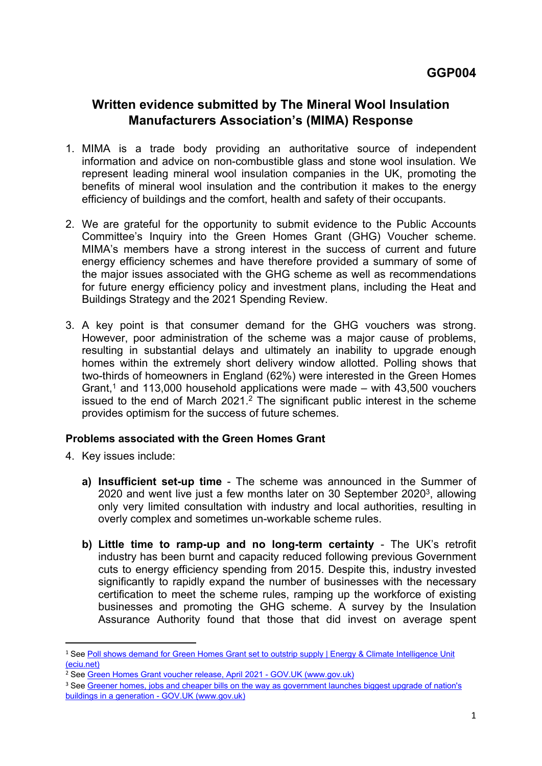## **Written evidence submitted by The Mineral Wool Insulation Manufacturers Association's (MIMA) Response**

- 1. MIMA is a trade body providing an authoritative source of independent information and advice on non-combustible glass and stone wool insulation. We represent leading mineral wool insulation companies in the UK, promoting the benefits of mineral wool insulation and the contribution it makes to the energy efficiency of buildings and the comfort, health and safety of their occupants.
- 2. We are grateful for the opportunity to submit evidence to the Public Accounts Committee's Inquiry into the Green Homes Grant (GHG) Voucher scheme. MIMA's members have a strong interest in the success of current and future energy efficiency schemes and have therefore provided a summary of some of the major issues associated with the GHG scheme as well as recommendations for future energy efficiency policy and investment plans, including the Heat and Buildings Strategy and the 2021 Spending Review.
- 3. A key point is that consumer demand for the GHG vouchers was strong. However, poor administration of the scheme was a major cause of problems, resulting in substantial delays and ultimately an inability to upgrade enough homes within the extremely short delivery window allotted. Polling shows that two-thirds of homeowners in England (62%) were interested in the Green Homes Grant,<sup>1</sup> and 113,000 household applications were made – with  $43,500$  vouchers issued to the end of March 2021.<sup>2</sup> The significant public interest in the scheme provides optimism for the success of future schemes.

## **Problems associated with the Green Homes Grant**

- 4. Key issues include:
	- **a) Insufficient set-up time** The scheme was announced in the Summer of 2020 and went live just a few months later on 30 September 2020<sup>3</sup>, allowing only very limited consultation with industry and local authorities, resulting in overly complex and sometimes un-workable scheme rules.
	- **b) Little time to ramp-up and no long-term certainty** The UK's retrofit industry has been burnt and capacity reduced following previous Government cuts to energy efficiency spending from 2015. Despite this, industry invested significantly to rapidly expand the number of businesses with the necessary certification to meet the scheme rules, ramping up the workforce of existing businesses and promoting the GHG scheme. A survey by the Insulation Assurance Authority found that those that did invest on average spent

<sup>&</sup>lt;sup>1</sup> See [Poll](https://eciu.net/news-and-events/press-releases/2020/poll-shows-demand-for-green-homes-grant-set-to-outstrip-supply) [shows](https://eciu.net/news-and-events/press-releases/2020/poll-shows-demand-for-green-homes-grant-set-to-outstrip-supply) [demand](https://eciu.net/news-and-events/press-releases/2020/poll-shows-demand-for-green-homes-grant-set-to-outstrip-supply) [for](https://eciu.net/news-and-events/press-releases/2020/poll-shows-demand-for-green-homes-grant-set-to-outstrip-supply) [Green](https://eciu.net/news-and-events/press-releases/2020/poll-shows-demand-for-green-homes-grant-set-to-outstrip-supply) [Homes](https://eciu.net/news-and-events/press-releases/2020/poll-shows-demand-for-green-homes-grant-set-to-outstrip-supply) [Grant](https://eciu.net/news-and-events/press-releases/2020/poll-shows-demand-for-green-homes-grant-set-to-outstrip-supply) [set](https://eciu.net/news-and-events/press-releases/2020/poll-shows-demand-for-green-homes-grant-set-to-outstrip-supply) [to](https://eciu.net/news-and-events/press-releases/2020/poll-shows-demand-for-green-homes-grant-set-to-outstrip-supply) [outstrip](https://eciu.net/news-and-events/press-releases/2020/poll-shows-demand-for-green-homes-grant-set-to-outstrip-supply) [supply](https://eciu.net/news-and-events/press-releases/2020/poll-shows-demand-for-green-homes-grant-set-to-outstrip-supply) [|](https://eciu.net/news-and-events/press-releases/2020/poll-shows-demand-for-green-homes-grant-set-to-outstrip-supply) [Energy](https://eciu.net/news-and-events/press-releases/2020/poll-shows-demand-for-green-homes-grant-set-to-outstrip-supply) [&](https://eciu.net/news-and-events/press-releases/2020/poll-shows-demand-for-green-homes-grant-set-to-outstrip-supply) [Climate](https://eciu.net/news-and-events/press-releases/2020/poll-shows-demand-for-green-homes-grant-set-to-outstrip-supply) [Intelligence](https://eciu.net/news-and-events/press-releases/2020/poll-shows-demand-for-green-homes-grant-set-to-outstrip-supply) [Unit](https://eciu.net/news-and-events/press-releases/2020/poll-shows-demand-for-green-homes-grant-set-to-outstrip-supply) [\(eciu.net\)](https://eciu.net/news-and-events/press-releases/2020/poll-shows-demand-for-green-homes-grant-set-to-outstrip-supply)

<sup>2</sup> See [Green](https://www.gov.uk/government/statistics/green-homes-grant-voucher-release-april-2021) [Homes](https://www.gov.uk/government/statistics/green-homes-grant-voucher-release-april-2021) [Grant](https://www.gov.uk/government/statistics/green-homes-grant-voucher-release-april-2021) [voucher](https://www.gov.uk/government/statistics/green-homes-grant-voucher-release-april-2021) [release,](https://www.gov.uk/government/statistics/green-homes-grant-voucher-release-april-2021) [April](https://www.gov.uk/government/statistics/green-homes-grant-voucher-release-april-2021) [2021](https://www.gov.uk/government/statistics/green-homes-grant-voucher-release-april-2021) [-](https://www.gov.uk/government/statistics/green-homes-grant-voucher-release-april-2021) [GOV.UK](https://www.gov.uk/government/statistics/green-homes-grant-voucher-release-april-2021) [\(www.gov.uk\)](https://www.gov.uk/government/statistics/green-homes-grant-voucher-release-april-2021)

<sup>&</sup>lt;sup>3</sup> See [Greener](https://www.gov.uk/government/news/greener-homes-jobs-and-cheaper-bills-on-the-way-as-government-launches-biggest-upgrade-of-nations-buildings-in-a-generation) [homes,](https://www.gov.uk/government/news/greener-homes-jobs-and-cheaper-bills-on-the-way-as-government-launches-biggest-upgrade-of-nations-buildings-in-a-generation) [jobs](https://www.gov.uk/government/news/greener-homes-jobs-and-cheaper-bills-on-the-way-as-government-launches-biggest-upgrade-of-nations-buildings-in-a-generation) [and](https://www.gov.uk/government/news/greener-homes-jobs-and-cheaper-bills-on-the-way-as-government-launches-biggest-upgrade-of-nations-buildings-in-a-generation) [cheaper](https://www.gov.uk/government/news/greener-homes-jobs-and-cheaper-bills-on-the-way-as-government-launches-biggest-upgrade-of-nations-buildings-in-a-generation) [bills](https://www.gov.uk/government/news/greener-homes-jobs-and-cheaper-bills-on-the-way-as-government-launches-biggest-upgrade-of-nations-buildings-in-a-generation) [on](https://www.gov.uk/government/news/greener-homes-jobs-and-cheaper-bills-on-the-way-as-government-launches-biggest-upgrade-of-nations-buildings-in-a-generation) [the](https://www.gov.uk/government/news/greener-homes-jobs-and-cheaper-bills-on-the-way-as-government-launches-biggest-upgrade-of-nations-buildings-in-a-generation) [way](https://www.gov.uk/government/news/greener-homes-jobs-and-cheaper-bills-on-the-way-as-government-launches-biggest-upgrade-of-nations-buildings-in-a-generation) [as](https://www.gov.uk/government/news/greener-homes-jobs-and-cheaper-bills-on-the-way-as-government-launches-biggest-upgrade-of-nations-buildings-in-a-generation) [government](https://www.gov.uk/government/news/greener-homes-jobs-and-cheaper-bills-on-the-way-as-government-launches-biggest-upgrade-of-nations-buildings-in-a-generation) [launches](https://www.gov.uk/government/news/greener-homes-jobs-and-cheaper-bills-on-the-way-as-government-launches-biggest-upgrade-of-nations-buildings-in-a-generation) [biggest](https://www.gov.uk/government/news/greener-homes-jobs-and-cheaper-bills-on-the-way-as-government-launches-biggest-upgrade-of-nations-buildings-in-a-generation) [upgrade](https://www.gov.uk/government/news/greener-homes-jobs-and-cheaper-bills-on-the-way-as-government-launches-biggest-upgrade-of-nations-buildings-in-a-generation) [of](https://www.gov.uk/government/news/greener-homes-jobs-and-cheaper-bills-on-the-way-as-government-launches-biggest-upgrade-of-nations-buildings-in-a-generation) [nation's](https://www.gov.uk/government/news/greener-homes-jobs-and-cheaper-bills-on-the-way-as-government-launches-biggest-upgrade-of-nations-buildings-in-a-generation) [buildings](https://www.gov.uk/government/news/greener-homes-jobs-and-cheaper-bills-on-the-way-as-government-launches-biggest-upgrade-of-nations-buildings-in-a-generation) [in](https://www.gov.uk/government/news/greener-homes-jobs-and-cheaper-bills-on-the-way-as-government-launches-biggest-upgrade-of-nations-buildings-in-a-generation) [a](https://www.gov.uk/government/news/greener-homes-jobs-and-cheaper-bills-on-the-way-as-government-launches-biggest-upgrade-of-nations-buildings-in-a-generation) [generation](https://www.gov.uk/government/news/greener-homes-jobs-and-cheaper-bills-on-the-way-as-government-launches-biggest-upgrade-of-nations-buildings-in-a-generation) [-](https://www.gov.uk/government/news/greener-homes-jobs-and-cheaper-bills-on-the-way-as-government-launches-biggest-upgrade-of-nations-buildings-in-a-generation) [GOV.UK](https://www.gov.uk/government/news/greener-homes-jobs-and-cheaper-bills-on-the-way-as-government-launches-biggest-upgrade-of-nations-buildings-in-a-generation) [\(www.gov.uk\)](https://www.gov.uk/government/news/greener-homes-jobs-and-cheaper-bills-on-the-way-as-government-launches-biggest-upgrade-of-nations-buildings-in-a-generation)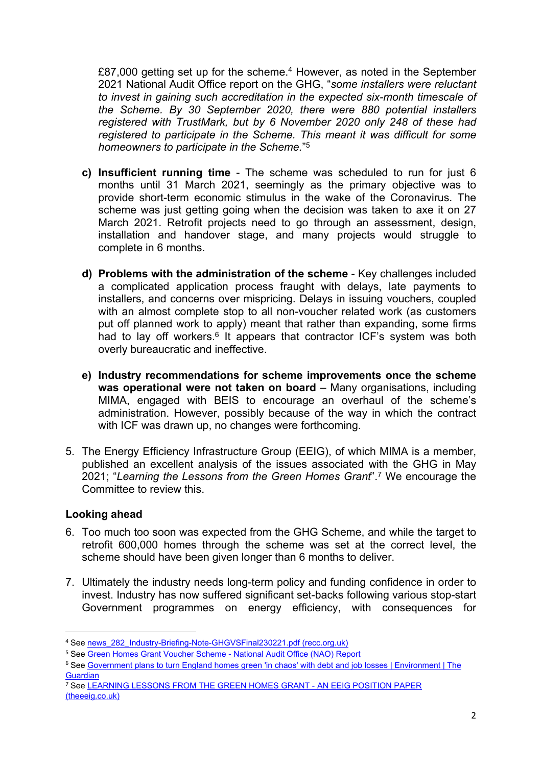£87,000 getting set up for the scheme.<sup>4</sup> However, as noted in the September 2021 National Audit Office report on the GHG, "*some installers were reluctant to invest in gaining such accreditation in the expected six-month timescale of the Scheme. By 30 September 2020, there were 880 potential installers registered with TrustMark, but by 6 November 2020 only 248 of these had registered to participate in the Scheme. This meant it was difficult for some homeowners to participate in the Scheme.*" 5

- **c) Insufficient running time** The scheme was scheduled to run for just 6 months until 31 March 2021, seemingly as the primary objective was to provide short-term economic stimulus in the wake of the Coronavirus. The scheme was just getting going when the decision was taken to axe it on 27 March 2021. Retrofit projects need to go through an assessment, design, installation and handover stage, and many projects would struggle to complete in 6 months.
- **d) Problems with the administration of the scheme** Key challenges included a complicated application process fraught with delays, late payments to installers, and concerns over mispricing. Delays in issuing vouchers, coupled with an almost complete stop to all non-voucher related work (as customers put off planned work to apply) meant that rather than expanding, some firms had to lay off workers.<sup>6</sup> It appears that contractor ICF's system was both overly bureaucratic and ineffective.
- **e) Industry recommendations for scheme improvements once the scheme was operational were not taken on board** – Many organisations, including MIMA, engaged with BEIS to encourage an overhaul of the scheme's administration. However, possibly because of the way in which the contract with ICF was drawn up, no changes were forthcoming.
- 5. The Energy Efficiency Infrastructure Group (EEIG), of which MIMA is a member, published an excellent analysis of the issues associated with the GHG in May 2021; "*Learning the Lessons from the Green Homes Grant*".<sup>7</sup> We encourage the Committee to review this.

## **Looking ahead**

- 6. Too much too soon was expected from the GHG Scheme, and while the target to retrofit 600,000 homes through the scheme was set at the correct level, the scheme should have been given longer than 6 months to deliver.
- 7. Ultimately the industry needs long-term policy and funding confidence in order to invest. Industry has now suffered significant set-backs following various stop-start Government programmes on energy efficiency, with consequences for

<sup>&</sup>lt;sup>4</sup> See [news\\_282\\_Industry-Briefing-Note-GHGVSFinal230221.pdf](https://www.recc.org.uk/images/upload/news_282_Industry-Briefing-Note-GHGVSFinal230221.pdf) [\(recc.org.uk\)](https://www.recc.org.uk/images/upload/news_282_Industry-Briefing-Note-GHGVSFinal230221.pdf)

<sup>5</sup> See [Green](https://www.nao.org.uk/report/green-homes-grant/) [Homes](https://www.nao.org.uk/report/green-homes-grant/) [Grant](https://www.nao.org.uk/report/green-homes-grant/) [Voucher](https://www.nao.org.uk/report/green-homes-grant/) [Scheme](https://www.nao.org.uk/report/green-homes-grant/) [-](https://www.nao.org.uk/report/green-homes-grant/) [National](https://www.nao.org.uk/report/green-homes-grant/) [Audit](https://www.nao.org.uk/report/green-homes-grant/) [Office](https://www.nao.org.uk/report/green-homes-grant/) [\(NAO\)](https://www.nao.org.uk/report/green-homes-grant/) [Report](https://www.nao.org.uk/report/green-homes-grant/)

<sup>6</sup> See [Government](https://www.theguardian.com/environment/2021/jan/26/government-plans-to-turn-england-homes-green-in-chaos-with-debt-and-job-losses) [plans](https://www.theguardian.com/environment/2021/jan/26/government-plans-to-turn-england-homes-green-in-chaos-with-debt-and-job-losses) [to](https://www.theguardian.com/environment/2021/jan/26/government-plans-to-turn-england-homes-green-in-chaos-with-debt-and-job-losses) [turn](https://www.theguardian.com/environment/2021/jan/26/government-plans-to-turn-england-homes-green-in-chaos-with-debt-and-job-losses) [England](https://www.theguardian.com/environment/2021/jan/26/government-plans-to-turn-england-homes-green-in-chaos-with-debt-and-job-losses) [homes](https://www.theguardian.com/environment/2021/jan/26/government-plans-to-turn-england-homes-green-in-chaos-with-debt-and-job-losses) [green](https://www.theguardian.com/environment/2021/jan/26/government-plans-to-turn-england-homes-green-in-chaos-with-debt-and-job-losses) ['in](https://www.theguardian.com/environment/2021/jan/26/government-plans-to-turn-england-homes-green-in-chaos-with-debt-and-job-losses) [chaos'](https://www.theguardian.com/environment/2021/jan/26/government-plans-to-turn-england-homes-green-in-chaos-with-debt-and-job-losses) [with](https://www.theguardian.com/environment/2021/jan/26/government-plans-to-turn-england-homes-green-in-chaos-with-debt-and-job-losses) [debt](https://www.theguardian.com/environment/2021/jan/26/government-plans-to-turn-england-homes-green-in-chaos-with-debt-and-job-losses) [and](https://www.theguardian.com/environment/2021/jan/26/government-plans-to-turn-england-homes-green-in-chaos-with-debt-and-job-losses) [job](https://www.theguardian.com/environment/2021/jan/26/government-plans-to-turn-england-homes-green-in-chaos-with-debt-and-job-losses) [losses](https://www.theguardian.com/environment/2021/jan/26/government-plans-to-turn-england-homes-green-in-chaos-with-debt-and-job-losses) [|](https://www.theguardian.com/environment/2021/jan/26/government-plans-to-turn-england-homes-green-in-chaos-with-debt-and-job-losses) [Environment](https://www.theguardian.com/environment/2021/jan/26/government-plans-to-turn-england-homes-green-in-chaos-with-debt-and-job-losses) [|](https://www.theguardian.com/environment/2021/jan/26/government-plans-to-turn-england-homes-green-in-chaos-with-debt-and-job-losses) [The](https://www.theguardian.com/environment/2021/jan/26/government-plans-to-turn-england-homes-green-in-chaos-with-debt-and-job-losses) **[Guardian](https://www.theguardian.com/environment/2021/jan/26/government-plans-to-turn-england-homes-green-in-chaos-with-debt-and-job-losses)** 

<sup>&</sup>lt;sup>7</sup> See [LEARNING](https://www.theeeig.co.uk/news/learning-lessons-from-the-green-homes-grant-an-eeig-position-paper/) [LESSONS](https://www.theeeig.co.uk/news/learning-lessons-from-the-green-homes-grant-an-eeig-position-paper/) [FROM](https://www.theeeig.co.uk/news/learning-lessons-from-the-green-homes-grant-an-eeig-position-paper/) [THE](https://www.theeeig.co.uk/news/learning-lessons-from-the-green-homes-grant-an-eeig-position-paper/) [GREEN](https://www.theeeig.co.uk/news/learning-lessons-from-the-green-homes-grant-an-eeig-position-paper/) [HOMES](https://www.theeeig.co.uk/news/learning-lessons-from-the-green-homes-grant-an-eeig-position-paper/) [GRANT](https://www.theeeig.co.uk/news/learning-lessons-from-the-green-homes-grant-an-eeig-position-paper/) [-](https://www.theeeig.co.uk/news/learning-lessons-from-the-green-homes-grant-an-eeig-position-paper/) [AN](https://www.theeeig.co.uk/news/learning-lessons-from-the-green-homes-grant-an-eeig-position-paper/) [EEIG](https://www.theeeig.co.uk/news/learning-lessons-from-the-green-homes-grant-an-eeig-position-paper/) [POSITION](https://www.theeeig.co.uk/news/learning-lessons-from-the-green-homes-grant-an-eeig-position-paper/) [PAPER](https://www.theeeig.co.uk/news/learning-lessons-from-the-green-homes-grant-an-eeig-position-paper/) [\(theeeig.co.uk\)](https://www.theeeig.co.uk/news/learning-lessons-from-the-green-homes-grant-an-eeig-position-paper/)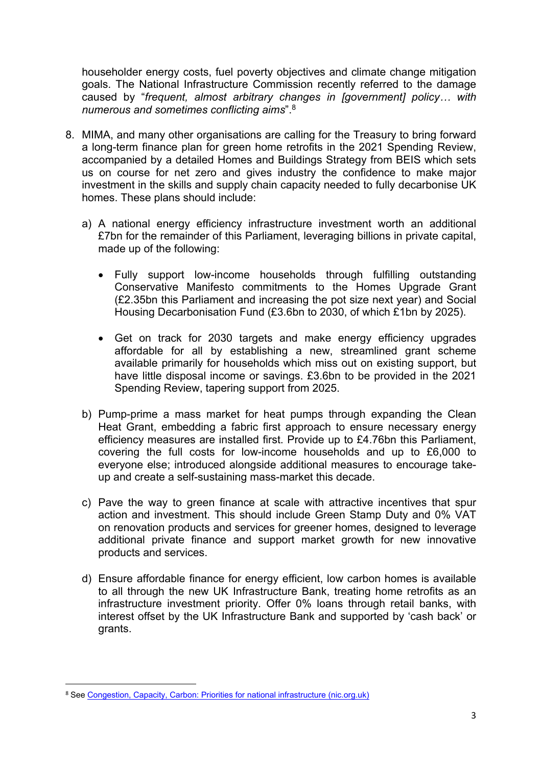householder energy costs, fuel poverty objectives and climate change mitigation goals. The National Infrastructure Commission recently referred to the damage caused by "*frequent, almost arbitrary changes in [government] policy… with numerous and sometimes conflicting aims*".<sup>8</sup>

- 8. MIMA, and many other organisations are calling for the Treasury to bring forward a long-term finance plan for green home retrofits in the 2021 Spending Review, accompanied by a detailed Homes and Buildings Strategy from BEIS which sets us on course for net zero and gives industry the confidence to make major investment in the skills and supply chain capacity needed to fully decarbonise UK homes. These plans should include:
	- a) A national energy efficiency infrastructure investment worth an additional £7bn for the remainder of this Parliament, leveraging billions in private capital, made up of the following:
		- Fully support low-income households through fulfilling outstanding Conservative Manifesto commitments to the Homes Upgrade Grant (£2.35bn this Parliament and increasing the pot size next year) and Social Housing Decarbonisation Fund (£3.6bn to 2030, of which £1bn by 2025).
		- Get on track for 2030 targets and make energy efficiency upgrades affordable for all by establishing a new, streamlined grant scheme available primarily for households which miss out on existing support, but have little disposal income or savings. £3.6bn to be provided in the 2021 Spending Review, tapering support from 2025.
	- b) Pump-prime a mass market for heat pumps through expanding the Clean Heat Grant, embedding a fabric first approach to ensure necessary energy efficiency measures are installed first. Provide up to £4.76bn this Parliament, covering the full costs for low-income households and up to £6,000 to everyone else; introduced alongside additional measures to encourage takeup and create a self-sustaining mass-market this decade.
	- c) Pave the way to green finance at scale with attractive incentives that spur action and investment. This should include Green Stamp Duty and 0% VAT on renovation products and services for greener homes, designed to leverage additional private finance and support market growth for new innovative products and services.
	- d) Ensure affordable finance for energy efficient, low carbon homes is available to all through the new UK Infrastructure Bank, treating home retrofits as an infrastructure investment priority. Offer 0% loans through retail banks, with interest offset by the UK Infrastructure Bank and supported by 'cash back' or grants.

<sup>8</sup> See [Congestion,](https://nic.org.uk/app/uploads/Congestion-Capacity-Carbon_-Priorities-for-national-infrastructure.pdf) [Capacity,](https://nic.org.uk/app/uploads/Congestion-Capacity-Carbon_-Priorities-for-national-infrastructure.pdf) [Carbon:](https://nic.org.uk/app/uploads/Congestion-Capacity-Carbon_-Priorities-for-national-infrastructure.pdf) [Priorities](https://nic.org.uk/app/uploads/Congestion-Capacity-Carbon_-Priorities-for-national-infrastructure.pdf) [for](https://nic.org.uk/app/uploads/Congestion-Capacity-Carbon_-Priorities-for-national-infrastructure.pdf) [national](https://nic.org.uk/app/uploads/Congestion-Capacity-Carbon_-Priorities-for-national-infrastructure.pdf) [infrastructure](https://nic.org.uk/app/uploads/Congestion-Capacity-Carbon_-Priorities-for-national-infrastructure.pdf) [\(nic.org.uk\)](https://nic.org.uk/app/uploads/Congestion-Capacity-Carbon_-Priorities-for-national-infrastructure.pdf)